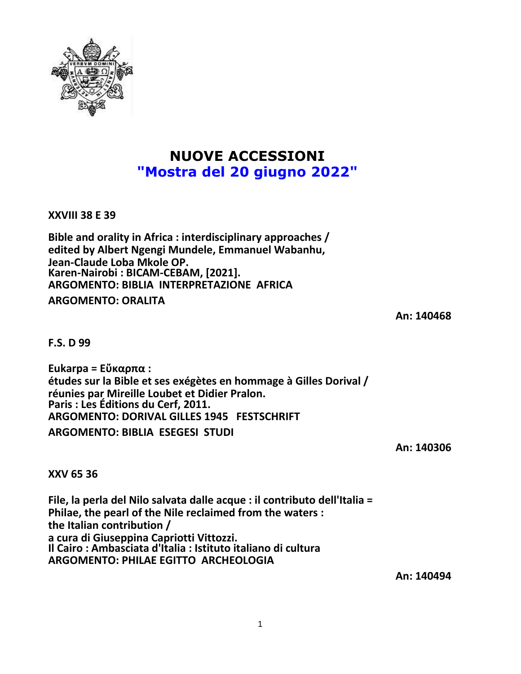

# **NUOVE ACCESSIONI "Mostra del 20 giugno 2022"**

**XXVIII 38 E 39**

**Bible and orality in Africa : interdisciplinary approaches / edited by Albert Ngengi Mundele, Emmanuel Wabanhu, Jean-Claude Loba Mkole OP. Karen-Nairobi : BICAM-CEBAM, [2021]. ARGOMENTO: BIBLIA INTERPRETAZIONE AFRICA ARGOMENTO: ORALITA**

**An: 140468**

**F.S. D 99**

**Eukarpa = Εὔκαρπα : études sur la Bible et ses exégètes en hommage à Gilles Dorival / réunies par Mireille Loubet et Didier Pralon. Paris : Les Éditions du Cerf, 2011. ARGOMENTO: DORIVAL GILLES 1945 FESTSCHRIFT ARGOMENTO: BIBLIA ESEGESI STUDI**

**An: 140306**

**XXV 65 36**

**File, la perla del Nilo salvata dalle acque : il contributo dell'Italia = Philae, the pearl of the Nile reclaimed from the waters : the Italian contribution / a cura di Giuseppina Capriotti Vittozzi. Il Cairo : Ambasciata d'Italia : Istituto italiano di cultura ARGOMENTO: PHILAE EGITTO ARCHEOLOGIA**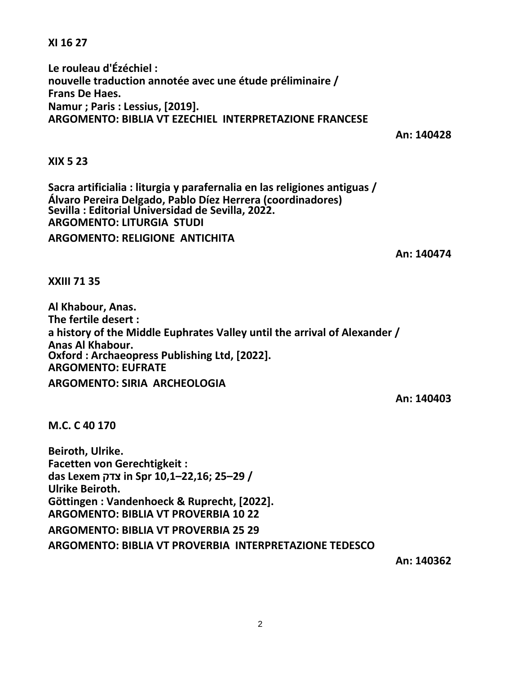**XI 16 27**

**Le rouleau d'Ézéchiel : nouvelle traduction annotée avec une étude préliminaire / Frans De Haes. Namur ; Paris : Lessius, [2019]. ARGOMENTO: BIBLIA VT EZECHIEL INTERPRETAZIONE FRANCESE**

**An: 140428**

## **XIX 5 23**

**Sacra artificialia : liturgia y parafernalia en las religiones antiguas / Álvaro Pereira Delgado, Pablo Díez Herrera (coordinadores) Sevilla : Editorial Universidad de Sevilla, 2022. ARGOMENTO: LITURGIA STUDI ARGOMENTO: RELIGIONE ANTICHITA**

**An: 140474**

**XXIII 71 35**

**Al Khabour, Anas. The fertile desert : a history of the Middle Euphrates Valley until the arrival of Alexander / Anas Al Khabour. Oxford : Archaeopress Publishing Ltd, [2022]. ARGOMENTO: EUFRATE ARGOMENTO: SIRIA ARCHEOLOGIA**

**An: 140403**

**M.C. C 40 170**

**Beiroth, Ulrike. Facetten von Gerechtigkeit : das Lexem צדק in Spr 10,1–22,16; 25–29 / Ulrike Beiroth. Göttingen : Vandenhoeck & Ruprecht, [2022]. ARGOMENTO: BIBLIA VT PROVERBIA 10 22 ARGOMENTO: BIBLIA VT PROVERBIA 25 29 ARGOMENTO: BIBLIA VT PROVERBIA INTERPRETAZIONE TEDESCO**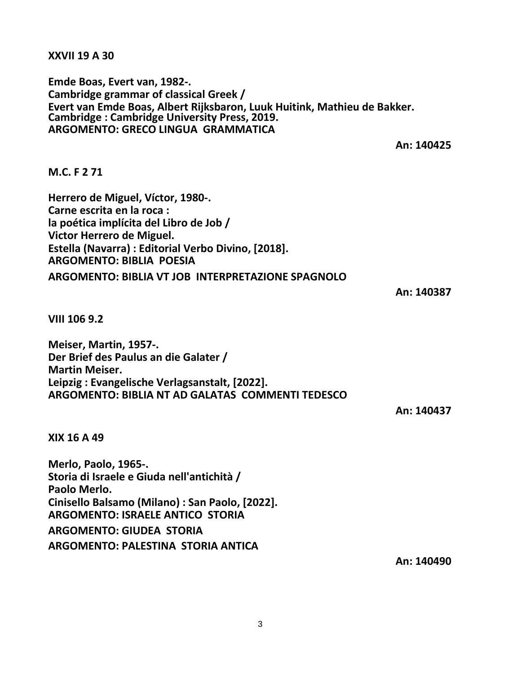**XXVII 19 A 30**

**Emde Boas, Evert van, 1982-. Cambridge grammar of classical Greek / Evert van Emde Boas, Albert Rijksbaron, Luuk Huitink, Mathieu de Bakker. Cambridge : Cambridge University Press, 2019. ARGOMENTO: GRECO LINGUA GRAMMATICA**

**An: 140425**

### **M.C. F 2 71**

**Herrero de Miguel, Víctor, 1980-. Carne escrita en la roca : la poética implícita del Libro de Job / Victor Herrero de Miguel. Estella (Navarra) : Editorial Verbo Divino, [2018]. ARGOMENTO: BIBLIA POESIA ARGOMENTO: BIBLIA VT JOB INTERPRETAZIONE SPAGNOLO**

**An: 140387**

**VIII 106 9.2**

**Meiser, Martin, 1957-. Der Brief des Paulus an die Galater / Martin Meiser. Leipzig : Evangelische Verlagsanstalt, [2022]. ARGOMENTO: BIBLIA NT AD GALATAS COMMENTI TEDESCO**

**An: 140437**

**XIX 16 A 49**

**Merlo, Paolo, 1965-. Storia di Israele e Giuda nell'antichità / Paolo Merlo. Cinisello Balsamo (Milano) : San Paolo, [2022]. ARGOMENTO: ISRAELE ANTICO STORIA ARGOMENTO: GIUDEA STORIA**

**ARGOMENTO: PALESTINA STORIA ANTICA**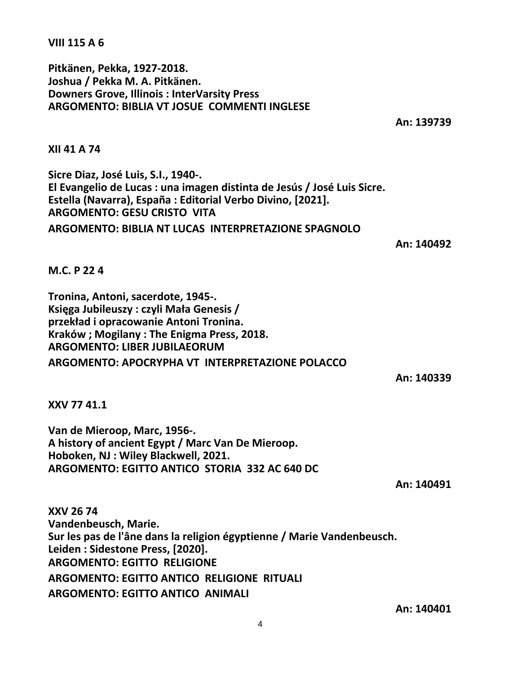4

#### **VIII 115 A 6**

**Pitkänen, Pekka, 1927-2018. Joshua / Pekka M. A. Pitkänen. Downers Grove, Illinois : InterVarsity Press ARGOMENTO: BIBLIA VT JOSUE COMMENTI INGLESE**

**An: 139739**

**XII 41 A 74**

**Sicre Diaz, José Luis, S.I., 1940-. El Evangelio de Lucas : una imagen distinta de Jesús / José Luis Sicre. Estella (Navarra), España : Editorial Verbo Divino, [2021]. ARGOMENTO: GESU CRISTO VITA ARGOMENTO: BIBLIA NT LUCAS INTERPRETAZIONE SPAGNOLO**

**An: 140492**

### **M.C. P 22 4**

**Tronina, Antoni, sacerdote, 1945-. Księga Jubileuszy : czyli Mała Genesis / przekład i opracowanie Antoni Tronina. Kraków ; Mogilany : The Enigma Press, 2018. ARGOMENTO: LIBER JUBILAEORUM ARGOMENTO: APOCRYPHA VT INTERPRETAZIONE POLACCO**

**An: 140339**

**XXV 77 41.1**

**Van de Mieroop, Marc, 1956-. A history of ancient Egypt / Marc Van De Mieroop. Hoboken, NJ : Wiley Blackwell, 2021. ARGOMENTO: EGITTO ANTICO STORIA 332 AC 640 DC**

**An: 140491**

**XXV 26 74 Vandenbeusch, Marie. Sur les pas de l'âne dans la religion égyptienne / Marie Vandenbeusch. Leiden : Sidestone Press, [2020]. ARGOMENTO: EGITTO RELIGIONE ARGOMENTO: EGITTO ANTICO RELIGIONE RITUALI ARGOMENTO: EGITTO ANTICO ANIMALI**